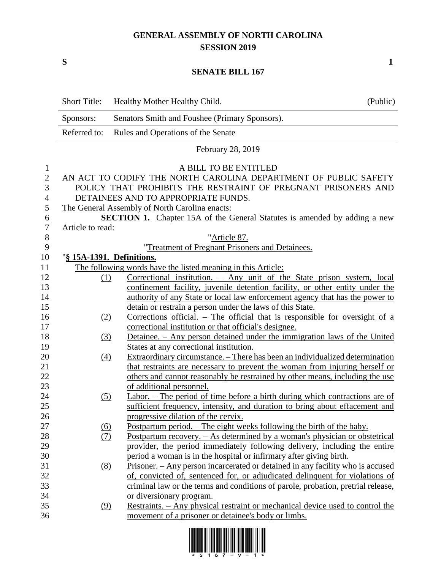## **GENERAL ASSEMBLY OF NORTH CAROLINA SESSION 2019**

**S 1**

## **SENATE BILL 167**

|                | <b>Short Title:</b>                                                              | Healthy Mother Healthy Child.                                                      | (Public) |  |
|----------------|----------------------------------------------------------------------------------|------------------------------------------------------------------------------------|----------|--|
|                | Senators Smith and Foushee (Primary Sponsors).<br>Sponsors:                      |                                                                                    |          |  |
|                | Referred to:                                                                     | Rules and Operations of the Senate                                                 |          |  |
|                |                                                                                  | February 28, 2019                                                                  |          |  |
| 1              |                                                                                  | A BILL TO BE ENTITLED                                                              |          |  |
| $\mathbf{2}$   |                                                                                  | AN ACT TO CODIFY THE NORTH CAROLINA DEPARTMENT OF PUBLIC SAFETY                    |          |  |
| 3              | POLICY THAT PROHIBITS THE RESTRAINT OF PREGNANT PRISONERS AND                    |                                                                                    |          |  |
| 4              | DETAINEES AND TO APPROPRIATE FUNDS.                                              |                                                                                    |          |  |
| 5              | The General Assembly of North Carolina enacts:                                   |                                                                                    |          |  |
| 6              | <b>SECTION 1.</b> Chapter 15A of the General Statutes is amended by adding a new |                                                                                    |          |  |
| $\overline{7}$ | Article to read:                                                                 |                                                                                    |          |  |
| $\,8\,$        |                                                                                  | "Article 87.                                                                       |          |  |
| 9              |                                                                                  | "Treatment of Pregnant Prisoners and Detainees.                                    |          |  |
| 10             | "§ 15A-1391. Definitions.                                                        |                                                                                    |          |  |
| 11             |                                                                                  | The following words have the listed meaning in this Article:                       |          |  |
| 12             | (1)                                                                              | Correctional institution. - Any unit of the State prison system, local             |          |  |
| 13             |                                                                                  | confinement facility, juvenile detention facility, or other entity under the       |          |  |
| 14             |                                                                                  | authority of any State or local law enforcement agency that has the power to       |          |  |
| 15             |                                                                                  | detain or restrain a person under the laws of this State.                          |          |  |
| 16             | (2)                                                                              | <u>Corrections official. – The official that is responsible for oversight of a</u> |          |  |
| 17             |                                                                                  | correctional institution or that official's designee.                              |          |  |
| 18             | (3)                                                                              | Detainee. - Any person detained under the immigration laws of the United           |          |  |
| 19             |                                                                                  | States at any correctional institution.                                            |          |  |
| 20             | $\underline{(4)}$                                                                | Extraordinary circumstance. – There has been an individualized determination       |          |  |
| 21             |                                                                                  | that restraints are necessary to prevent the woman from injuring herself or        |          |  |
| 22             |                                                                                  | others and cannot reasonably be restrained by other means, including the use       |          |  |
| 23             |                                                                                  | of additional personnel.                                                           |          |  |
| 24             | (5)                                                                              | $Labor.$ – The period of time before a birth during which contractions are of      |          |  |
| 25             |                                                                                  | sufficient frequency, intensity, and duration to bring about effacement and        |          |  |
| 26             |                                                                                  | progressive dilation of the cervix.                                                |          |  |
| 27             | $\underline{(6)}$                                                                | <u>Postpartum period. – The eight weeks following the birth of the baby.</u>       |          |  |
| 28             | (7)                                                                              | Postpartum recovery. – As determined by a woman's physician or obstetrical         |          |  |
| 29             |                                                                                  | provider, the period immediately following delivery, including the entire          |          |  |
| 30             |                                                                                  | period a woman is in the hospital or infirmary after giving birth.                 |          |  |
| 31             | (8)                                                                              | Prisoner. - Any person incarcerated or detained in any facility who is accused     |          |  |
| 32             |                                                                                  | of, convicted of, sentenced for, or adjudicated delinquent for violations of       |          |  |
| 33             |                                                                                  | criminal law or the terms and conditions of parole, probation, pretrial release,   |          |  |
| 34             |                                                                                  | or diversionary program.                                                           |          |  |
| 35             | (9)                                                                              | Restraints. – Any physical restraint or mechanical device used to control the      |          |  |
| 36             |                                                                                  | movement of a prisoner or detainee's body or limbs.                                |          |  |